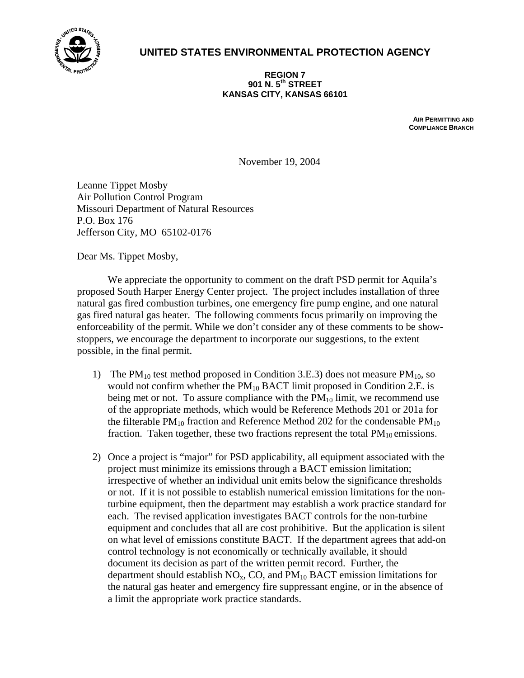

## **UNITED STATES ENVIRONMENTAL PROTECTION AGENCY**

**REGION 7 901 N. 5th STREET KANSAS CITY, KANSAS 66101**

> **AIR PERMITTING AND COMPLIANCE BRANCH**

November 19, 2004

Leanne Tippet Mosby Air Pollution Control Program Missouri Department of Natural Resources P.O. Box 176 Jefferson City, MO 65102-0176

Dear Ms. Tippet Mosby,

 We appreciate the opportunity to comment on the draft PSD permit for Aquila's proposed South Harper Energy Center project. The project includes installation of three natural gas fired combustion turbines, one emergency fire pump engine, and one natural gas fired natural gas heater. The following comments focus primarily on improving the enforceability of the permit. While we don't consider any of these comments to be showstoppers, we encourage the department to incorporate our suggestions, to the extent possible, in the final permit.

- 1) The  $PM_{10}$  test method proposed in Condition 3.E.3) does not measure  $PM_{10}$ , so would not confirm whether the  $PM_{10}$  BACT limit proposed in Condition 2.E. is being met or not. To assure compliance with the  $PM_{10}$  limit, we recommend use of the appropriate methods, which would be Reference Methods 201 or 201a for the filterable  $PM_{10}$  fraction and Reference Method 202 for the condensable  $PM_{10}$ fraction. Taken together, these two fractions represent the total  $PM_{10}$  emissions.
- 2) Once a project is "major" for PSD applicability, all equipment associated with the project must minimize its emissions through a BACT emission limitation; irrespective of whether an individual unit emits below the significance thresholds or not. If it is not possible to establish numerical emission limitations for the nonturbine equipment, then the department may establish a work practice standard for each. The revised application investigates BACT controls for the non-turbine equipment and concludes that all are cost prohibitive. But the application is silent on what level of emissions constitute BACT. If the department agrees that add-on control technology is not economically or technically available, it should document its decision as part of the written permit record. Further, the department should establish  $NO<sub>x</sub>$ , CO, and  $PM<sub>10</sub>$  BACT emission limitations for the natural gas heater and emergency fire suppressant engine, or in the absence of a limit the appropriate work practice standards.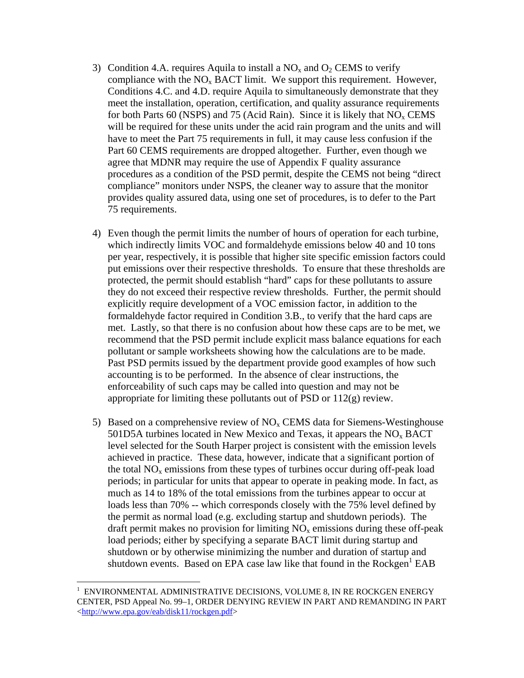- 3) Condition 4.A. requires Aquila to install a  $NO<sub>x</sub>$  and  $O<sub>2</sub>$  CEMS to verify compliance with the  $NO<sub>x</sub>$  BACT limit. We support this requirement. However, Conditions 4.C. and 4.D. require Aquila to simultaneously demonstrate that they meet the installation, operation, certification, and quality assurance requirements for both Parts 60 (NSPS) and 75 (Acid Rain). Since it is likely that  $NO<sub>x</sub>$  CEMS will be required for these units under the acid rain program and the units and will have to meet the Part 75 requirements in full, it may cause less confusion if the Part 60 CEMS requirements are dropped altogether. Further, even though we agree that MDNR may require the use of Appendix F quality assurance procedures as a condition of the PSD permit, despite the CEMS not being "direct compliance" monitors under NSPS, the cleaner way to assure that the monitor provides quality assured data, using one set of procedures, is to defer to the Part 75 requirements.
- 4) Even though the permit limits the number of hours of operation for each turbine, which indirectly limits VOC and formaldehyde emissions below 40 and 10 tons per year, respectively, it is possible that higher site specific emission factors could put emissions over their respective thresholds. To ensure that these thresholds are protected, the permit should establish "hard" caps for these pollutants to assure they do not exceed their respective review thresholds. Further, the permit should explicitly require development of a VOC emission factor, in addition to the formaldehyde factor required in Condition 3.B., to verify that the hard caps are met. Lastly, so that there is no confusion about how these caps are to be met, we recommend that the PSD permit include explicit mass balance equations for each pollutant or sample worksheets showing how the calculations are to be made. Past PSD permits issued by the department provide good examples of how such accounting is to be performed. In the absence of clear instructions, the enforceability of such caps may be called into question and may not be appropriate for limiting these pollutants out of PSD or 112(g) review.
- 5) Based on a comprehensive review of  $NO<sub>x</sub>$  CEMS data for Siemens-Westinghouse 501D5A turbines located in New Mexico and Texas, it appears the  $NO<sub>x</sub> BACT$ level selected for the South Harper project is consistent with the emission levels achieved in practice. These data, however, indicate that a significant portion of the total  $NO<sub>x</sub>$  emissions from these types of turbines occur during off-peak load periods; in particular for units that appear to operate in peaking mode. In fact, as much as 14 to 18% of the total emissions from the turbines appear to occur at loads less than 70% -- which corresponds closely with the 75% level defined by the permit as normal load (e.g. excluding startup and shutdown periods). The draft permit makes no provision for limiting  $NO<sub>x</sub>$  emissions during these off-peak load periods; either by specifying a separate BACT limit during startup and shutdown or by otherwise minimizing the number and duration of startup and shutdown events. Based on EPA case law like that found in the  $Rockgen<sup>1</sup> EAB$

1

<sup>1</sup> ENVIRONMENTAL ADMINISTRATIVE DECISIONS, VOLUME 8, IN RE ROCKGEN ENERGY CENTER, PSD Appeal No. 99–1, ORDER DENYING REVIEW IN PART AND REMANDING IN PART <http://www.epa.gov/eab/disk11/rockgen.pdf>